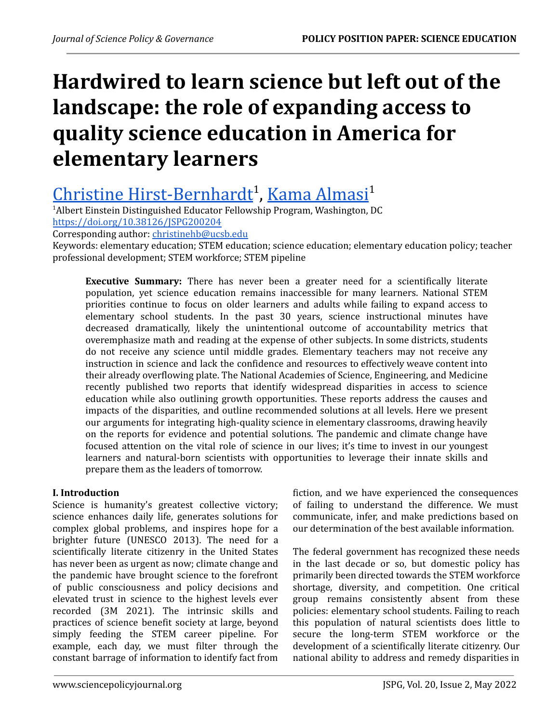# **Hardwired to learn science but left out of the landscape: the role of expanding access to quality science education in America for elementary learners**

# Christine [Hirst-Bernhardt](https://orcid.org/0000-0002-3451-251X)<sup>1</sup>, Kama [Almasi](https://orcid.org/0000-0002-3660-9390)<sup>1</sup>

<sup>1</sup>Albert Einstein Distinguished Educator Fellowship Program, Washington, DC <https://doi.org/10.38126/JSPG200204>

Corresponding author: [christinehb@ucsb.edu](mailto:christinehb@ucsb.edu)

Keywords: elementary education; STEM education; science education; elementary education policy; teacher professional development; STEM workforce; STEM pipeline

**Executive Summary:** There has never been a greater need for a scientifically literate population, yet science education remains inaccessible for many learners. National STEM priorities continue to focus on older learners and adults while failing to expand access to elementary school students. In the past 30 years, science instructional minutes have decreased dramatically, likely the unintentional outcome of accountability metrics that overemphasize math and reading at the expense of other subjects. In some districts, students do not receive any science until middle grades. Elementary teachers may not receive any instruction in science and lack the confidence and resources to effectively weave content into their already overflowing plate. The National Academies of Science, Engineering, and Medicine recently published two reports that identify widespread disparities in access to science education while also outlining growth opportunities. These reports address the causes and impacts of the disparities, and outline recommended solutions at all levels. Here we present our arguments for integrating high-quality science in elementary classrooms, drawing heavily on the reports for evidence and potential solutions. The pandemic and climate change have focused attention on the vital role of science in our lives; it's time to invest in our youngest learners and natural-born scientists with opportunities to leverage their innate skills and prepare them as the leaders of tomorrow.

# **I. Introduction**

Science is humanity's greatest collective victory; science enhances daily life, generates solutions for complex global problems, and inspires hope for a brighter future (UNESCO 2013). The need for a scientifically literate citizenry in the United States has never been as urgent as now; climate change and the pandemic have brought science to the forefront of public consciousness and policy decisions and elevated trust in science to the highest levels ever recorded (3M 2021). The intrinsic skills and practices of science benefit society at large, beyond simply feeding the STEM career pipeline. For example, each day, we must filter through the constant barrage of information to identify fact from fiction, and we have experienced the consequences of failing to understand the difference. We must communicate, infer, and make predictions based on our determination of the best available information.

The federal government has recognized these needs in the last decade or so, but domestic policy has primarily been directed towards the STEM [workforce](https://www.congress.gov/bill/117th-congress/house-bill/204) [shortage,](https://www.congress.gov/bill/117th-congress/house-bill/204) [diversity](https://www.congress.gov/bill/117th-congress/house-bill/2027?q=%7B), and competition. One critical group remains consistently absent from these policies: elementary school students. Failing to reach this population of natural scientists does little to secure the long-term STEM workforce or the development of a scientifically literate citizenry. Our national ability to address and remedy disparities in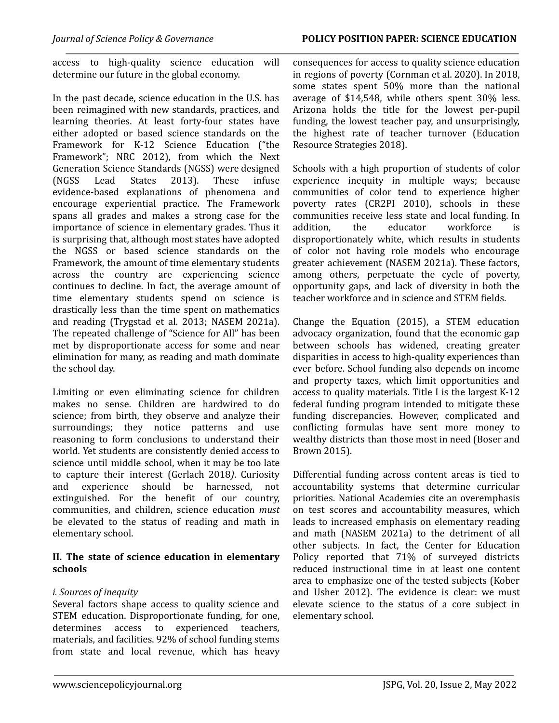access to high-quality science education will determine our future in the global economy.

In the past decade, science education in the U.S. has been reimagined with new standards, practices, and learning theories. At least forty-four states have either adopted or based science standards on the Framework for K-12 Science Education ("the Framework"; NRC 2012), from which the Next Generation Science Standards (NGSS) were designed (NGSS Lead States 2013). These infuse evidence-based explanations of phenomena and encourage experiential practice. The Framework spans all grades and makes a strong case for the importance of science in elementary grades. Thus it is surprising that, although most states have adopted the NGSS or based science standards on the Framework, the amount of time elementary students across the country are experiencing science continues to decline. In fact, the average amount of time elementary students spend on science is drastically less than the time spent on mathematics and reading (Trygstad et al. 2013; NASEM 2021a). The repeated challenge of "Science for All" has been met by disproportionate access for some and near elimination for many, as reading and math dominate the school day.

Limiting or even eliminating science for children makes no sense. Children are hardwired to do science; from birth, they observe and analyze their surroundings; they notice patterns and use reasoning to form conclusions to understand their world. Yet students are consistently denied access to science until middle school, when it may be too late to capture their interest (Gerlach 2018*)*. Curiosity and experience should be harnessed, not extinguished. For the benefit of our country, communities, and children, science education *must* be elevated to the status of reading and math in elementary school.

# **II. The state of science education in elementary schools**

# *i. Sources of inequity*

Several factors shape access to quality science and STEM education. Disproportionate funding, for one, determines access to experienced teachers, materials, and facilities. 92% of school funding stems from state and local revenue, which has heavy consequences for access to quality science education in regions of poverty (Cornman et al. 2020). In 2018, some states spent 50% more than the national average of \$14,548, while others spent 30% less. Arizona holds the title for the lowest per-pupil funding, the lowest teacher pay, and unsurprisingly, the highest rate of teacher turnover (Education Resource Strategies 2018).

Schools with a high proportion of students of color experience inequity in multiple ways; because communities of color tend to experience higher poverty rates (CR2PI 2010), schools in these communities receive less state and local funding. In addition, the educator workforce is disproportionately white, which results in students of color not having role models who encourage greater achievement (NASEM 2021a). These factors, among others, perpetuate the cycle of poverty, opportunity gaps, and lack of diversity in both the teacher workforce and in science and STEM fields.

Change the Equation (2015), a STEM education advocacy organization, found that the economic gap between schools has widened, creating greater disparities in access to high-quality experiences than ever before. School funding also depends on income and property taxes, which limit opportunities and access to quality materials. Title I is the largest K-12 federal funding program intended to mitigate these funding discrepancies. However, complicated and conflicting formulas have sent more money to wealthy districts than those most in need (Boser and Brown 2015).

Differential funding across content areas is tied to accountability systems that determine curricular priorities. National Academies cite an overemphasis on test scores and accountability measures, which leads to increased emphasis on elementary reading and math (NASEM 2021a) to the detriment of all other subjects. In fact, the Center for Education Policy reported that 71% of surveyed districts reduced instructional time in at least one content area to emphasize one of the tested subjects (Kober and Usher 2012). The evidence is clear: we must elevate science to the status of a core subject in elementary school.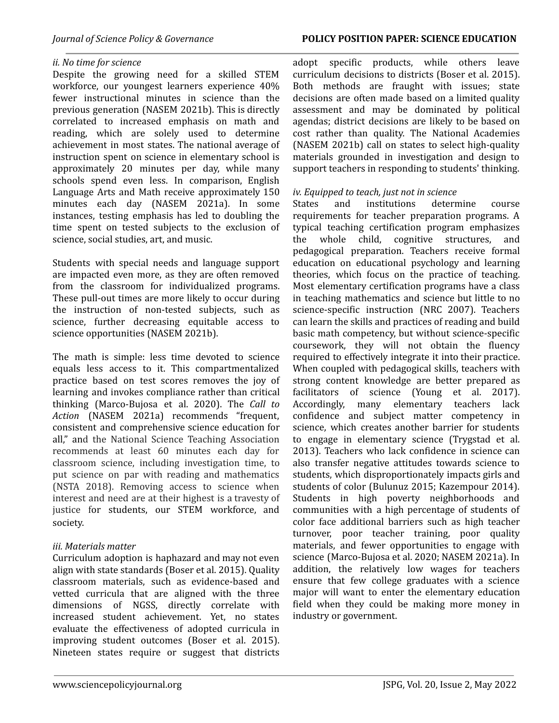#### *ii. No time for science*

Despite the growing need for a skilled STEM workforce, our youngest learners experience 40% fewer instructional minutes in science than the previous generation (NASEM 2021b). This is directly correlated to increased emphasis on math and reading, which are solely used to determine achievement in most states. The national average of instruction spent on science in elementary school is approximately 20 minutes per day, while many schools spend even less. In comparison, English Language Arts and Math receive approximately 150 minutes each day (NASEM 2021a). In some instances, testing emphasis has led to doubling the time spent on tested subjects to the exclusion of science, social studies, art, and music.

Students with special needs and language support are impacted even more, as they are often removed from the classroom for individualized programs. These pull-out times are more likely to occur during the instruction of non-tested subjects, such as science, further decreasing equitable access to science opportunities (NASEM 2021b).

The math is simple: less time devoted to science equals less access to it. This compartmentalized practice based on test scores removes the joy of learning and invokes compliance rather than critical thinking (Marco‐Bujosa et al. 2020). The *Call to Action* (NASEM 2021a) recommends "frequent, consistent and comprehensive science education for all," and the National Science Teaching Association recommends at least 60 minutes each day for classroom science, including investigation time, to put science on par with reading and mathematics (NSTA 2018). Removing access to science when interest and need are at their highest is a travesty of justice for students, our STEM workforce, and society.

#### *iii. Materials matter*

Curriculum adoption is haphazard and may not even align with state standards (Boser et al. 2015). Quality classroom materials, such as evidence-based and vetted curricula that are aligned with the three dimensions of NGSS, directly correlate with increased student achievement. Yet, no states evaluate the effectiveness of adopted curricula in improving student outcomes (Boser et al. 2015). Nineteen states require or suggest that districts adopt specific products, while others leave curriculum decisions to districts (Boser et al. 2015). Both methods are fraught with issues; state decisions are often made based on a limited quality assessment and may be dominated by political agendas; district decisions are likely to be based on cost rather than quality. The National Academies (NASEM 2021b) call on states to select high-quality materials grounded in investigation and design to support teachers in responding to students' thinking.

#### *iv. Equipped to teach, just not in science*

States and institutions determine course requirements for teacher preparation programs. A typical teaching certification program emphasizes the whole child, cognitive structures, and pedagogical preparation. Teachers receive formal education on educational psychology and learning theories, which focus on the practice of teaching. Most elementary certification programs have a class in teaching mathematics and science but little to no science-specific instruction (NRC 2007). Teachers can learn the skills and practices of reading and build basic math competency, but without science-specific coursework, they will not obtain the fluency required to effectively integrate it into their practice. When coupled with pedagogical skills, teachers with strong content knowledge are better prepared as facilitators of science (Young et al. 2017). Accordingly, many elementary teachers lack confidence and subject matter competency in science, which creates another barrier for students to engage in elementary science (Trygstad et al. 2013). Teachers who lack confidence in science can also transfer negative attitudes towards science to students, which disproportionately impacts girls and students of color (Bulunuz 2015; Kazempour 2014). Students in high poverty neighborhoods and communities with a high percentage of students of color face additional barriers such as high teacher turnover, poor teacher training, poor quality materials, and fewer opportunities to engage with science (Marco-Bujosa et al. 2020; NASEM 2021a). In addition, the relatively low wages for teachers ensure that few college graduates with a science major will want to enter the elementary education field when they could be making more money in industry or government.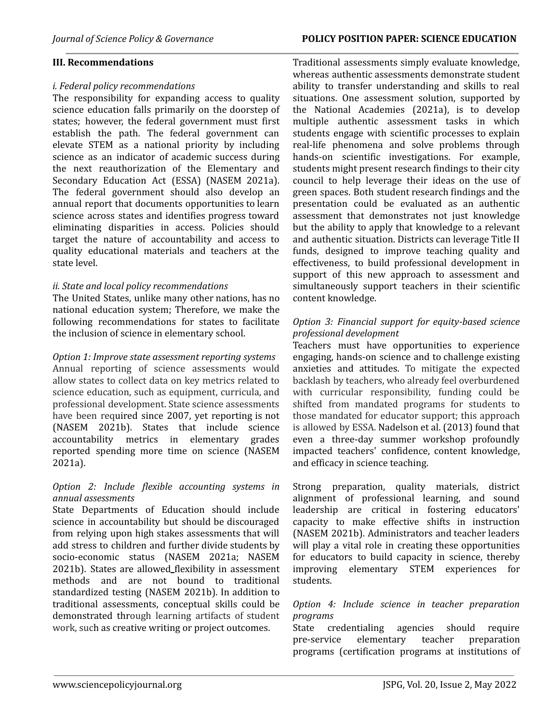#### **III. Recommendations**

#### *i. Federal policy recommendations*

The responsibility for expanding access to quality science education falls primarily on the doorstep of states; however, the federal government must first establish the path. The federal government can elevate STEM as a national priority by including science as an indicator of academic success during the next reauthorization of the Elementary and Secondary Education Act (ESSA) (NASEM 2021a). The federal government should also develop an annual report that documents opportunities to learn science across states and identifies progress toward eliminating disparities in access. Policies should target the nature of accountability and access to quality educational materials and teachers at the state level.

#### *ii. State and local policy recommendations*

The United States, unlike many other nations, has no national education system; Therefore, we make the following recommendations for states to facilitate the inclusion of science in elementary school.

*Option 1: Improve state assessment reporting systems* Annual reporting of science assessments would allow states to collect data on key metrics related to science education, such as equipment, curricula, and professional development. State science assessments have been required since 2007, yet reporting is not (NASEM 2021b). States that include science accountability metrics in elementary grades reported spending more time on science (NASEM 2021a).

# *Option 2: Include flexible accounting systems in annual assessments*

State Departments of Education should include science in accountability but should be discouraged from relying upon high stakes assessments that will add stress to children and further divide students by socio-economic status (NASEM 2021a; NASEM 2021b). States are allowed flexibilit[y](https://www.nap.edu/read/26215/chapter/4#31) in assessment methods and are not bound to traditional standardized testing (NASEM 2021b). In addition to traditional assessments, conceptual skills could be demonstrated through learning artifacts of student work, such as creative writing or project outcomes.

Traditional assessments simply evaluate knowledge, whereas authentic assessments demonstrate student ability to transfer understanding and skills to real situations. One assessment solution, supported by the National Academies (2021a), is to develop multiple authentic assessment tasks in which students engage with scientific processes to explain real-life phenomena and solve problems through hands-on scientific investigations. For example, students might present research findings to their city council to help leverage their ideas on the use of green spaces. Both student research findings and the presentation could be evaluated as an authentic assessment that demonstrates not just knowledge but the ability to apply that knowledge to a relevant and authentic situation. Districts can leverage Title II funds, designed to improve teaching quality and effectiveness, to build professional development in support of this new approach to assessment and simultaneously support teachers in their scientific content knowledge.

#### *Option 3: Financial support for equity-based science professional development*

Teachers must have opportunities to experience engaging, hands-on science and to challenge existing anxieties and attitudes. To mitigate the expected backlash by teachers, who already feel overburdened with curricular responsibility, funding could be shifted from mandated programs for students to those mandated for educator support; this approach is allowed by ESSA. Nadelson et al. (2013) found that even a three-day summer workshop profoundly impacted teachers' confidence, content knowledge, and efficacy in science teaching.

Strong preparation, quality materials, district alignment of professional learning, and sound leadership are critical in fostering educators' capacity to make effective shifts in instruction (NASEM 2021b). Administrators and teacher leaders will play a vital role in creating these opportunities for educators to build capacity in science, thereby improving elementary STEM experiences for students.

#### *Option 4: Include science in teacher preparation programs*

State credentialing agencies should require pre-service elementary teacher preparation programs (certification programs at institutions of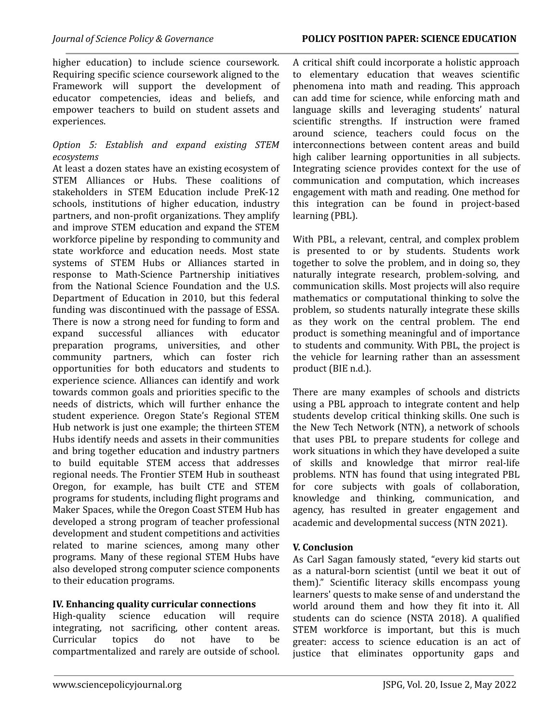higher education) to include science coursework. Requiring specific science coursework aligned to the Framework will support the development of educator competencies, ideas and beliefs, and empower teachers to build on student assets and experiences.

#### *Option 5: Establish and expand existing STEM ecosystems*

At least a dozen states have an existing ecosystem of STEM Alliances or Hubs. These coalitions of stakeholders in STEM Education include PreK-12 schools, institutions of higher education, industry partners, and non-profit organizations. They amplify and improve STEM education and expand the STEM workforce pipeline by responding to community and state workforce and education needs. Most state systems of STEM Hubs or Alliances started in response to Math-Science Partnership initiatives from the National Science Foundation and the U.S. Department of Education in 2010, but this federal funding was discontinued with the passage of ESSA. There is now a strong need for funding to form and expand successful alliances with educator preparation programs, universities, and other community partners, which can foster rich opportunities for both educators and students to experience science. Alliances can identify and work towards common goals and priorities specific to the needs of districts, which will further enhance the student experience. Oregon State's Regional STEM Hub network is just one example; the thirteen STEM Hubs identify needs and assets in their communities and bring together education and industry partners to build equitable STEM access that addresses regional needs. The Frontier STEM Hub in southeast Oregon, for example, has built CTE and STEM programs for students, including flight programs and Maker Spaces, while the Oregon Coast STEM Hub has developed a strong program of teacher professional development and student competitions and activities related to marine sciences, among many other programs. Many of these regional STEM Hubs have also developed strong computer science components to their education programs.

# **IV. Enhancing quality curricular connections**

High-quality science education will require integrating, not sacrificing, other content areas. Curricular topics do not have to be compartmentalized and rarely are outside of school.

A critical shift could incorporate a holistic approach to elementary education that weaves scientific phenomena into math and reading. This approach can add time for science, while enforcing math and language skills and leveraging students' natural scientific strengths. If instruction were framed around science, teachers could focus on the interconnections between content areas and build high caliber learning opportunities in all subjects. Integrating science provides context for the use of communication and computation, which increases engagement with math and reading. One method for this integration can be found in project-based learning (PBL).

With PBL, a relevant, central, and complex problem is presented to or by students. Students work together to solve the problem, and in doing so, they naturally integrate research, problem-solving, and communication skills. Most projects will also require mathematics or computational thinking to solve the problem, so students naturally integrate these skills as they work on the central problem. The end product is something meaningful and of importance to students and community. With PBL, the project is the vehicle for learning rather than an assessment product (BIE n.d.).

There are many examples of schools and districts using a PBL approach to integrate content and help students develop critical thinking skills. One such is the New Tech Network (NTN), a network of schools that uses PBL to prepare students for college and work situations in which they have developed a suite of skills and knowledge that mirror real-life problems. NTN has found that using integrated PBL for core subjects with goals of collaboration, knowledge and thinking, communication, and agency, has resulted in greater engagement and academic and developmental success (NTN 2021).

# **V. Conclusion**

As Carl Sagan famously stated, "every kid starts out as a natural-born scientist (until we beat it out of them)." Scientific literacy skills encompass young learners' quests to make sense of and understand the world around them and how they fit into it. All students can do science (NSTA 2018). A qualified STEM workforce is important, but this is much greater: access to science education is an act of justice that eliminates opportunity gaps and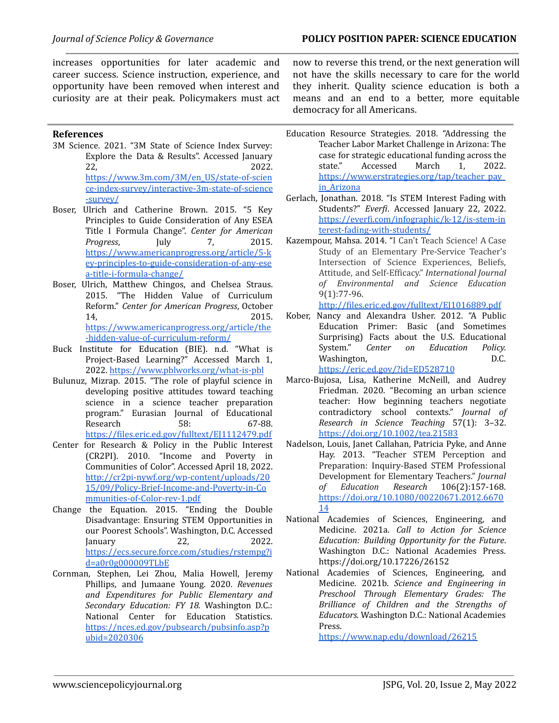increases opportunities for later academic and career success. Science instruction, experience, and opportunity have been removed when interest and curiosity are at their peak. Policymakers must act

#### **References**

- 3M Science. 2021. "3M State of Science Index Survey: Explore the Data & Results". Accessed January 22, 2022. [https://www.3m.com/3M/en\\_US/state-of-scien](https://www.3m.com/3M/en_US/state-of-science-index-survey/interactive-3m-state-of-science-survey/) [ce-index-survey/interactive-3m-state-of-science](https://www.3m.com/3M/en_US/state-of-science-index-survey/interactive-3m-state-of-science-survey/) [-survey/](https://www.3m.com/3M/en_US/state-of-science-index-survey/interactive-3m-state-of-science-survey/)
- Boser, Ulrich and Catherine Brown. 2015. "5 Key Principles to Guide Consideration of Any ESEA Title I Formula Change". *Center for American Progress*, July 7, 2015. [https://www.americanprogress.org/article/5-k](https://www.americanprogress.org/article/5-key-principles-to-guide-consideration-of-any-esea-title-i-formula-change/) [ey-principles-to-guide-consideration-of-any-ese](https://www.americanprogress.org/article/5-key-principles-to-guide-consideration-of-any-esea-title-i-formula-change/) [a-title-i-formula-change/](https://www.americanprogress.org/article/5-key-principles-to-guide-consideration-of-any-esea-title-i-formula-change/)
- Boser, Ulrich, Matthew Chingos, and Chelsea Straus. 2015. "The Hidden Value of Curriculum Reform." *Center for American Progress*, October 14, 2015. [https://www.americanprogress.org/article/the](https://www.americanprogress.org/article/the-hidden-value-of-curriculum-reform/) [-hidden-value-of-curriculum-reform/](https://www.americanprogress.org/article/the-hidden-value-of-curriculum-reform/)
- Buck Institute for Education (BIE). n.d. "What is Project-Based Learning?" Accessed March 1, 2022. <https://www.pblworks.org/what-is-pbl>
- Bulunuz, Mizrap. 2015. "The role of playful science in developing positive attitudes toward teaching science in a science teacher preparation program." Eurasian Journal of Educational Research 58: 67-88. https://files.eric.ed.gov/fulltext/EJ112479.pdf
- Center for Research & Policy in the Public Interest (CR2PI). 2010. "Income and Poverty in Communities of Color". Accessed April 18, 2022. [http://cr2pi-nywf.org/wp-content/uploads/20](http://cr2pi-nywf.org/wp-content/uploads/2015/09/Policy-Brief-Income-and-Poverty-in-Communities-of-Color-rev-1.pdf) [15/09/Policy-Brief-Income-and-Poverty-in-Co](http://cr2pi-nywf.org/wp-content/uploads/2015/09/Policy-Brief-Income-and-Poverty-in-Communities-of-Color-rev-1.pdf) [mmunities-of-Color-rev-1.pdf](http://cr2pi-nywf.org/wp-content/uploads/2015/09/Policy-Brief-Income-and-Poverty-in-Communities-of-Color-rev-1.pdf)
- Change the Equation. 2015. "Ending the Double Disadvantage: Ensuring STEM Opportunities in our Poorest Schools". Washington, D.C. Accessed January 22, 2022. [https://ecs.secure.force.com/studies/rstempg?i](https://ecs.secure.force.com/studies/rstempg?id=a0r0g000009TLbE) [d=a0r0g000009TLbE](https://ecs.secure.force.com/studies/rstempg?id=a0r0g000009TLbE)
- Cornman, Stephen, Lei Zhou, Malia Howell, Jeremy Phillips, and Jumaane Young. 2020. *Revenues and Expenditures for Public Elementary and Secondary Education: FY 18.* Washington D.C.: National Center for Education Statistics[.](https://nces.ed.gov/pubsearch/pubsinfo.asp?pubid=2020306) [https://nces.ed.gov/pubsearch/pubsinfo.asp?p](https://nces.ed.gov/pubsearch/pubsinfo.asp?pubid=2020306) [ubid=2020306](https://nces.ed.gov/pubsearch/pubsinfo.asp?pubid=2020306)

now to reverse this trend, or the next generation will not have the skills necessary to care for the world they inherit. Quality science education is both a means and an end to a better, more equitable democracy for all Americans.

- Education Resource Strategies. 2018. "Addressing the Teacher Labor Market Challenge in Arizona: The case for strategic educational funding across the state." Accessed March 1, 2022. [https://www.erstrategies.org/tap/teacher\\_pay\\_](https://www.erstrategies.org/tap/teacher_pay_in_Arizona) [in\\_Arizona](https://www.erstrategies.org/tap/teacher_pay_in_Arizona)
- Gerlach, Jonathan. 2018. "Is STEM Interest Fading with Students?" *Everfi*. Accessed January 22, 2022. [https://everfi.com/infographic/k-12/is-stem-in](https://everfi.com/infographic/k-12/is-stem-interest-fading-with-students/) [terest-fading-with-students/](https://everfi.com/infographic/k-12/is-stem-interest-fading-with-students/)
- Kazempour, Mahsa. 2014. "I Can't Teach Science! A Case Study of an Elementary Pre-Service Teacher's Intersection of Science Experiences, Beliefs, Attitude, and Self-Efficacy." *International Journal of Environmental and Science Education* 9(1):77-96.

<http://files.eric.ed.gov/fulltext/EJ1016889.pdf>

Kober, Nancy and Alexandra Usher. 2012. "A Public Education Primer: Basic (and Sometimes Surprising) Facts about the U.S. Educational System." *Center on Education Policy.* Washington, D[.](https://eric.ed.gov/?id=ED528710)C.

<https://eric.ed.gov/?id=ED528710>

- Marco‐Bujosa, Lisa, Katherine McNeill, and Audrey Friedman. 2020. "Becoming an urban science teacher: How beginning teachers negotiate contradictory school contexts." *Journal of Research in Science Teaching* 57(1): 3–32. <https://doi.org/10.1002/tea.21583>
- Nadelson, Louis, Janet Callahan, Patricia Pyke, and Anne Hay. 2013. "Teacher STEM Perception and Preparation: Inquiry-Based STEM Professional Development for Elementary Teachers." *Journal of Education Research* 106(2):157-168. [https://doi.org/10.1080/00220671.2012.6670](https://doi.org/10.1080/00220671.2012.667014) [14](https://doi.org/10.1080/00220671.2012.667014)
- National Academies of Sciences, Engineering, and Medicine. 2021a. *Call to Action for Science Education: Building Opportunity for the Future*. Washington D.C.: National Academies Press. <https://doi.org/10.17226/26152>
- National Academies of Sciences, Engineering, and Medicine. 2021b. *Science and Engineering in Preschool Through Elementary Grades: The Brilliance of Children and the Strengths of Educators.* Washington D.C.: National Academies Press.

<https://www.nap.edu/download/26215>